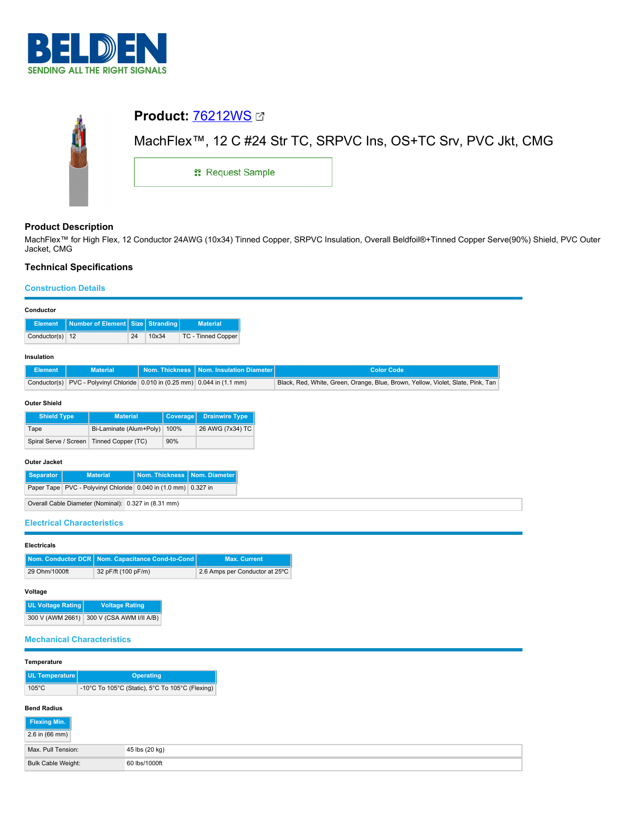

| <b>Product: 76212WS Ø</b>                                                   |  |  |  |  |  |
|-----------------------------------------------------------------------------|--|--|--|--|--|
| MachFlex <sup>™</sup> , 12 C #24 Str TC, SRPVC Ins, OS+TC Srv, PVC Jkt, CMG |  |  |  |  |  |
| <b>: Request Sample</b>                                                     |  |  |  |  |  |
|                                                                             |  |  |  |  |  |

# **Product Description**

MachFlex™ for High Flex, 12 Conductor 24AWG (10x34) Tinned Copper, SRPVC Insulation, Overall Beldfoil®+Tinned Copper Serve(90%) Shield, PVC Outer Jacket, CMG

# **Technical Specifications**

## **Construction Details**

| Conductor                                 |                                                                |    |                  |                                                               |                                                                                 |
|-------------------------------------------|----------------------------------------------------------------|----|------------------|---------------------------------------------------------------|---------------------------------------------------------------------------------|
| <b>Element</b>                            | <b>Number of Element   Size  </b>                              |    | <b>Stranding</b> | <b>Material</b>                                               |                                                                                 |
| Conductor(s) 12                           |                                                                | 24 | 10x34            | TC - Tinned Copper                                            |                                                                                 |
| Insulation                                |                                                                |    |                  |                                                               |                                                                                 |
| <b>Element</b>                            | <b>Material</b>                                                |    | Nom. Thickness   | Nom. Insulation Diameter                                      | <b>Color Code</b>                                                               |
| Conductor(s)                              |                                                                |    |                  | PVC - Polyvinyl Chloride 0.010 in (0.25 mm) 0.044 in (1.1 mm) | Black, Red, White, Green, Orange, Blue, Brown, Yellow, Violet, Slate, Pink, Tan |
| <b>Outer Shield</b><br><b>Shield Type</b> | <b>Material</b>                                                |    | <b>Coverage</b>  | <b>Drainwire Type</b>                                         |                                                                                 |
|                                           |                                                                |    |                  |                                                               |                                                                                 |
| Tape                                      | Bi-Laminate (Alum+Poly)                                        |    | 100%             | 26 AWG (7x34) TC                                              |                                                                                 |
| Spiral Serve / Screen                     | Tinned Copper (TC)                                             |    | 90%              |                                                               |                                                                                 |
| <b>Outer Jacket</b>                       |                                                                |    |                  |                                                               |                                                                                 |
| <b>Separator</b>                          | <b>Material</b>                                                |    | Nom. Thickness   | Nom. Diameter                                                 |                                                                                 |
|                                           | Paper Tape PVC - Polyvinyl Chloride 0.040 in (1.0 mm) 0.327 in |    |                  |                                                               |                                                                                 |

#### **Electricals**

|               | Nom. Conductor DCR   Nom. Capacitance Cond-to-Cond | <b>Max. Current</b>            |
|---------------|----------------------------------------------------|--------------------------------|
| 29 Ohm/1000ft | 32 pF/ft (100 pF/m)                                | 2.6 Amps per Conductor at 25°C |

### **Voltage**

| <b>UL Voltage Rating</b> | <b>Voltage Rating</b>    |
|--------------------------|--------------------------|
| 300 V (AWM 2661)         | 300 V (CSA AWM I/II A/B) |

### **Mechanical Characteristics**

#### **Temperature**

| UL Temperature  | <b>Operating</b>                                |  |  |
|-----------------|-------------------------------------------------|--|--|
| $105^{\circ}$ C | -10°C To 105°C (Static), 5°C To 105°C (Flexing) |  |  |

## **Bend Radius**

| Flexing Min.       |                |
|--------------------|----------------|
| $2.6$ in (66 mm)   |                |
| Max. Pull Tension: | 45 lbs (20 kg) |
| Bulk Cable Weight: | 60 lbs/1000ft  |